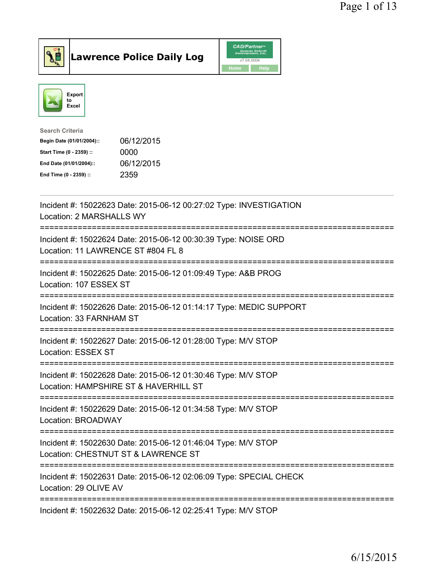





| <b>Search Criteria</b>    |            |
|---------------------------|------------|
| Begin Date (01/01/2004):: | 06/12/2015 |
| Start Time (0 - 2359) ::  | 0000       |
| End Date (01/01/2004)::   | 06/12/2015 |
| End Time (0 - 2359) ::    | 2359       |
|                           |            |

| Incident #: 15022623 Date: 2015-06-12 00:27:02 Type: INVESTIGATION<br>Location: 2 MARSHALLS WY                                      |
|-------------------------------------------------------------------------------------------------------------------------------------|
| Incident #: 15022624 Date: 2015-06-12 00:30:39 Type: NOISE ORD<br>Location: 11 LAWRENCE ST #804 FL 8                                |
| Incident #: 15022625 Date: 2015-06-12 01:09:49 Type: A&B PROG<br>Location: 107 ESSEX ST                                             |
| Incident #: 15022626 Date: 2015-06-12 01:14:17 Type: MEDIC SUPPORT<br>Location: 33 FARNHAM ST                                       |
| Incident #: 15022627 Date: 2015-06-12 01:28:00 Type: M/V STOP<br><b>Location: ESSEX ST</b><br>===================================== |
| Incident #: 15022628 Date: 2015-06-12 01:30:46 Type: M/V STOP<br>Location: HAMPSHIRE ST & HAVERHILL ST                              |
| ===============================<br>Incident #: 15022629 Date: 2015-06-12 01:34:58 Type: M/V STOP<br>Location: BROADWAY              |
| Incident #: 15022630 Date: 2015-06-12 01:46:04 Type: M/V STOP<br>Location: CHESTNUT ST & LAWRENCE ST                                |
| Incident #: 15022631 Date: 2015-06-12 02:06:09 Type: SPECIAL CHECK<br>Location: 29 OLIVE AV                                         |
| ----------------------<br>Incident #: 15022632 Date: 2015-06-12 02:25:41 Type: M/V STOP                                             |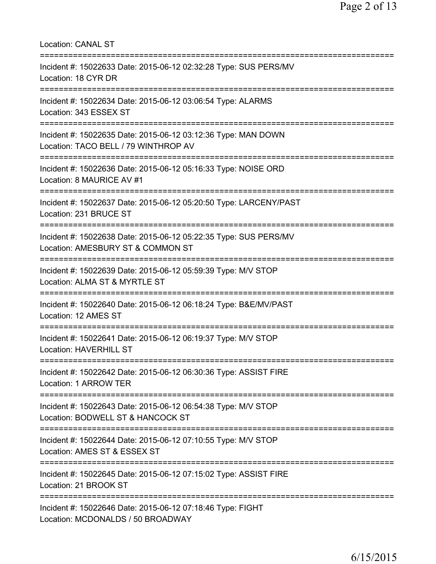| <b>Location: CANAL ST</b><br>================================                                                                            |
|------------------------------------------------------------------------------------------------------------------------------------------|
| Incident #: 15022633 Date: 2015-06-12 02:32:28 Type: SUS PERS/MV<br>Location: 18 CYR DR<br>================================              |
| Incident #: 15022634 Date: 2015-06-12 03:06:54 Type: ALARMS<br>Location: 343 ESSEX ST                                                    |
| Incident #: 15022635 Date: 2015-06-12 03:12:36 Type: MAN DOWN<br>Location: TACO BELL / 79 WINTHROP AV                                    |
| Incident #: 15022636 Date: 2015-06-12 05:16:33 Type: NOISE ORD<br>Location: 8 MAURICE AV #1                                              |
| =====================<br>Incident #: 15022637 Date: 2015-06-12 05:20:50 Type: LARCENY/PAST<br>Location: 231 BRUCE ST                     |
| Incident #: 15022638 Date: 2015-06-12 05:22:35 Type: SUS PERS/MV<br>Location: AMESBURY ST & COMMON ST<br>=============================== |
| Incident #: 15022639 Date: 2015-06-12 05:59:39 Type: M/V STOP<br>Location: ALMA ST & MYRTLE ST                                           |
| Incident #: 15022640 Date: 2015-06-12 06:18:24 Type: B&E/MV/PAST<br>Location: 12 AMES ST                                                 |
| Incident #: 15022641 Date: 2015-06-12 06:19:37 Type: M/V STOP<br>Location: HAVERHILL ST                                                  |
| ======================================<br>Incident #: 15022642 Date: 2015-06-12 06:30:36 Type: ASSIST FIRE<br>Location: 1 ARROW TER      |
| Incident #: 15022643 Date: 2015-06-12 06:54:38 Type: M/V STOP<br>Location: BODWELL ST & HANCOCK ST                                       |
| Incident #: 15022644 Date: 2015-06-12 07:10:55 Type: M/V STOP<br>Location: AMES ST & ESSEX ST                                            |
| Incident #: 15022645 Date: 2015-06-12 07:15:02 Type: ASSIST FIRE<br>Location: 21 BROOK ST                                                |
| Incident #: 15022646 Date: 2015-06-12 07:18:46 Type: FIGHT<br>Location: MCDONALDS / 50 BROADWAY                                          |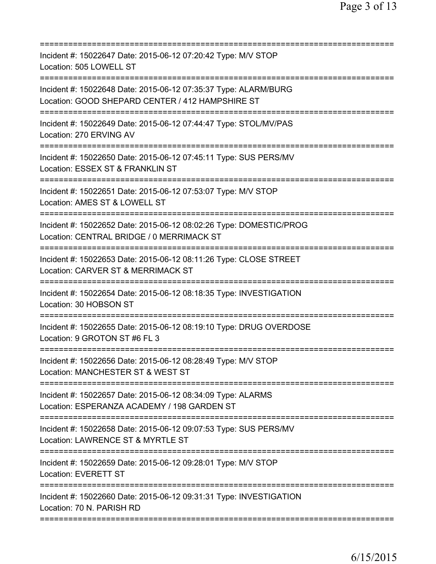| Incident #: 15022647 Date: 2015-06-12 07:20:42 Type: M/V STOP<br>Location: 505 LOWELL ST<br>=================                                             |
|-----------------------------------------------------------------------------------------------------------------------------------------------------------|
| Incident #: 15022648 Date: 2015-06-12 07:35:37 Type: ALARM/BURG<br>Location: GOOD SHEPARD CENTER / 412 HAMPSHIRE ST                                       |
| Incident #: 15022649 Date: 2015-06-12 07:44:47 Type: STOL/MV/PAS<br>Location: 270 ERVING AV                                                               |
| Incident #: 15022650 Date: 2015-06-12 07:45:11 Type: SUS PERS/MV<br>Location: ESSEX ST & FRANKLIN ST                                                      |
| Incident #: 15022651 Date: 2015-06-12 07:53:07 Type: M/V STOP<br>Location: AMES ST & LOWELL ST                                                            |
| Incident #: 15022652 Date: 2015-06-12 08:02:26 Type: DOMESTIC/PROG<br>Location: CENTRAL BRIDGE / 0 MERRIMACK ST                                           |
| Incident #: 15022653 Date: 2015-06-12 08:11:26 Type: CLOSE STREET<br>Location: CARVER ST & MERRIMACK ST<br>==============================<br>:=========== |
| Incident #: 15022654 Date: 2015-06-12 08:18:35 Type: INVESTIGATION<br>Location: 30 HOBSON ST<br>=====================================                     |
| Incident #: 15022655 Date: 2015-06-12 08:19:10 Type: DRUG OVERDOSE<br>Location: 9 GROTON ST #6 FL 3                                                       |
| Incident #: 15022656 Date: 2015-06-12 08:28:49 Type: M/V STOP<br>Location: MANCHESTER ST & WEST ST                                                        |
| Incident #: 15022657 Date: 2015-06-12 08:34:09 Type: ALARMS<br>Location: ESPERANZA ACADEMY / 198 GARDEN ST                                                |
| Incident #: 15022658 Date: 2015-06-12 09:07:53 Type: SUS PERS/MV<br>Location: LAWRENCE ST & MYRTLE ST                                                     |
| Incident #: 15022659 Date: 2015-06-12 09:28:01 Type: M/V STOP<br><b>Location: EVERETT ST</b>                                                              |
| Incident #: 15022660 Date: 2015-06-12 09:31:31 Type: INVESTIGATION<br>Location: 70 N. PARISH RD                                                           |
|                                                                                                                                                           |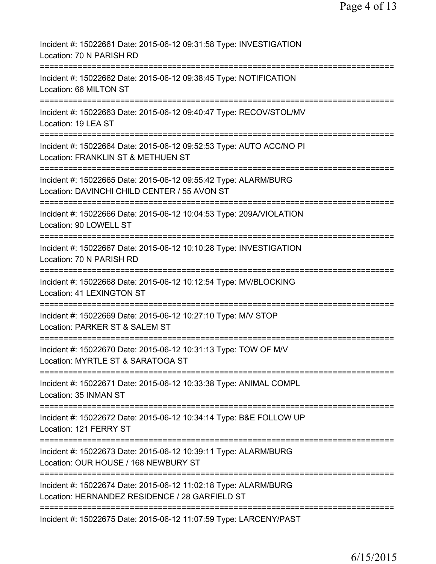| Incident #: 15022661 Date: 2015-06-12 09:31:58 Type: INVESTIGATION<br>Location: 70 N PARISH RD                                        |
|---------------------------------------------------------------------------------------------------------------------------------------|
| Incident #: 15022662 Date: 2015-06-12 09:38:45 Type: NOTIFICATION<br>Location: 66 MILTON ST                                           |
| Incident #: 15022663 Date: 2015-06-12 09:40:47 Type: RECOV/STOL/MV<br>Location: 19 LEA ST                                             |
| Incident #: 15022664 Date: 2015-06-12 09:52:53 Type: AUTO ACC/NO PI<br>Location: FRANKLIN ST & METHUEN ST                             |
| Incident #: 15022665 Date: 2015-06-12 09:55:42 Type: ALARM/BURG<br>Location: DAVINCHI CHILD CENTER / 55 AVON ST                       |
| Incident #: 15022666 Date: 2015-06-12 10:04:53 Type: 209A/VIOLATION<br>Location: 90 LOWELL ST                                         |
| Incident #: 15022667 Date: 2015-06-12 10:10:28 Type: INVESTIGATION<br>Location: 70 N PARISH RD<br>;================================== |
| Incident #: 15022668 Date: 2015-06-12 10:12:54 Type: MV/BLOCKING<br>Location: 41 LEXINGTON ST                                         |
| Incident #: 15022669 Date: 2015-06-12 10:27:10 Type: M/V STOP<br>Location: PARKER ST & SALEM ST                                       |
| Incident #: 15022670 Date: 2015-06-12 10:31:13 Type: TOW OF M/V<br>Location: MYRTLE ST & SARATOGA ST                                  |
| Incident #: 15022671 Date: 2015-06-12 10:33:38 Type: ANIMAL COMPL<br>Location: 35 INMAN ST                                            |
| Incident #: 15022672 Date: 2015-06-12 10:34:14 Type: B&E FOLLOW UP<br>Location: 121 FERRY ST                                          |
| Incident #: 15022673 Date: 2015-06-12 10:39:11 Type: ALARM/BURG<br>Location: OUR HOUSE / 168 NEWBURY ST                               |
| Incident #: 15022674 Date: 2015-06-12 11:02:18 Type: ALARM/BURG<br>Location: HERNANDEZ RESIDENCE / 28 GARFIELD ST                     |
| ====================<br>Incident #: 15022675 Date: 2015-06-12 11:07:59 Type: LARCENY/PAST                                             |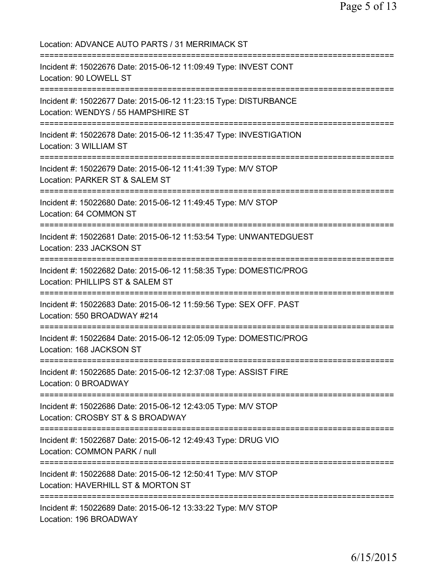Location: ADVANCE AUTO PARTS / 31 MERRIMACK ST =========================================================================== Incident #: 15022676 Date: 2015-06-12 11:09:49 Type: INVEST CONT Location: 90 LOWELL ST =========================================================================== Incident #: 15022677 Date: 2015-06-12 11:23:15 Type: DISTURBANCE Location: WENDYS / 55 HAMPSHIRE ST =========================================================================== Incident #: 15022678 Date: 2015-06-12 11:35:47 Type: INVESTIGATION Location: 3 WILLIAM ST =========================================================================== Incident #: 15022679 Date: 2015-06-12 11:41:39 Type: M/V STOP Location: PARKER ST & SALEM ST =========================================================================== Incident #: 15022680 Date: 2015-06-12 11:49:45 Type: M/V STOP Location: 64 COMMON ST =========================================================================== Incident #: 15022681 Date: 2015-06-12 11:53:54 Type: UNWANTEDGUEST Location: 233 JACKSON ST =========================================================================== Incident #: 15022682 Date: 2015-06-12 11:58:35 Type: DOMESTIC/PROG Location: PHILLIPS ST & SALEM ST =========================================================================== Incident #: 15022683 Date: 2015-06-12 11:59:56 Type: SEX OFF. PAST Location: 550 BROADWAY #214 =========================================================================== Incident #: 15022684 Date: 2015-06-12 12:05:09 Type: DOMESTIC/PROG Location: 168 JACKSON ST =========================================================================== Incident #: 15022685 Date: 2015-06-12 12:37:08 Type: ASSIST FIRE Location: 0 BROADWAY =========================================================================== Incident #: 15022686 Date: 2015-06-12 12:43:05 Type: M/V STOP Location: CROSBY ST & S BROADWAY =========================================================================== Incident #: 15022687 Date: 2015-06-12 12:49:43 Type: DRUG VIO Location: COMMON PARK / null =========================================================================== Incident #: 15022688 Date: 2015-06-12 12:50:41 Type: M/V STOP Location: HAVERHILL ST & MORTON ST =========================================================================== Incident #: 15022689 Date: 2015-06-12 13:33:22 Type: M/V STOP Location: 196 BROADWAY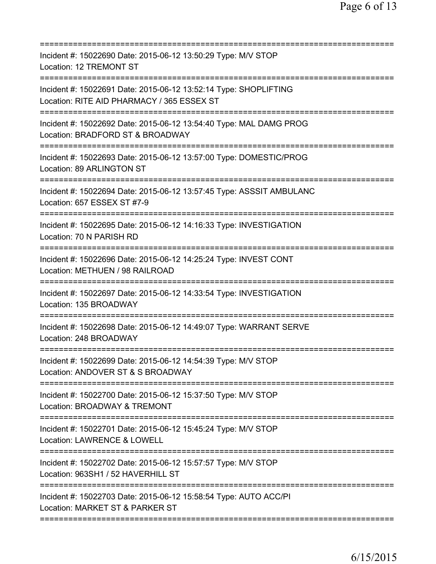| Incident #: 15022690 Date: 2015-06-12 13:50:29 Type: M/V STOP<br>Location: 12 TREMONT ST                                                 |
|------------------------------------------------------------------------------------------------------------------------------------------|
| Incident #: 15022691 Date: 2015-06-12 13:52:14 Type: SHOPLIFTING<br>Location: RITE AID PHARMACY / 365 ESSEX ST                           |
| Incident #: 15022692 Date: 2015-06-12 13:54:40 Type: MAL DAMG PROG<br>Location: BRADFORD ST & BROADWAY<br>====================           |
| Incident #: 15022693 Date: 2015-06-12 13:57:00 Type: DOMESTIC/PROG<br>Location: 89 ARLINGTON ST                                          |
| =====================<br>Incident #: 15022694 Date: 2015-06-12 13:57:45 Type: ASSSIT AMBULANC<br>Location: 657 ESSEX ST #7-9             |
| Incident #: 15022695 Date: 2015-06-12 14:16:33 Type: INVESTIGATION<br>Location: 70 N PARISH RD<br>====================================== |
| Incident #: 15022696 Date: 2015-06-12 14:25:24 Type: INVEST CONT<br>Location: METHUEN / 98 RAILROAD                                      |
| Incident #: 15022697 Date: 2015-06-12 14:33:54 Type: INVESTIGATION<br>Location: 135 BROADWAY                                             |
| Incident #: 15022698 Date: 2015-06-12 14:49:07 Type: WARRANT SERVE<br>Location: 248 BROADWAY                                             |
| Incident #: 15022699 Date: 2015-06-12 14:54:39 Type: M/V STOP<br>Location: ANDOVER ST & S BROADWAY                                       |
| Incident #: 15022700 Date: 2015-06-12 15:37:50 Type: M/V STOP<br>Location: BROADWAY & TREMONT                                            |
| Incident #: 15022701 Date: 2015-06-12 15:45:24 Type: M/V STOP<br><b>Location: LAWRENCE &amp; LOWELL</b>                                  |
| Incident #: 15022702 Date: 2015-06-12 15:57:57 Type: M/V STOP<br>Location: 963SH1 / 52 HAVERHILL ST                                      |
| Incident #: 15022703 Date: 2015-06-12 15:58:54 Type: AUTO ACC/PI<br>Location: MARKET ST & PARKER ST                                      |
|                                                                                                                                          |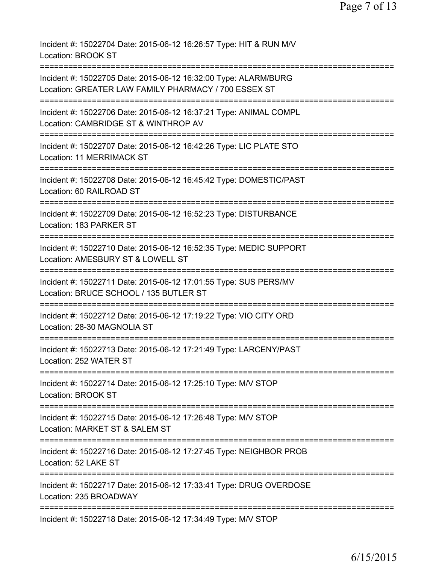Incident #: 15022704 Date: 2015-06-12 16:26:57 Type: HIT & RUN M/V Location: BROOK ST =========================================================================== Incident #: 15022705 Date: 2015-06-12 16:32:00 Type: ALARM/BURG Location: GREATER LAW FAMILY PHARMACY / 700 ESSEX ST =========================================================================== Incident #: 15022706 Date: 2015-06-12 16:37:21 Type: ANIMAL COMPL Location: CAMBRIDGE ST & WINTHROP AV =========================================================================== Incident #: 15022707 Date: 2015-06-12 16:42:26 Type: LIC PLATE STO Location: 11 MERRIMACK ST =========================================================================== Incident #: 15022708 Date: 2015-06-12 16:45:42 Type: DOMESTIC/PAST Location: 60 RAILROAD ST =========================================================================== Incident #: 15022709 Date: 2015-06-12 16:52:23 Type: DISTURBANCE Location: 183 PARKER ST =========================================================================== Incident #: 15022710 Date: 2015-06-12 16:52:35 Type: MEDIC SUPPORT Location: AMESBURY ST & LOWELL ST =========================================================================== Incident #: 15022711 Date: 2015-06-12 17:01:55 Type: SUS PERS/MV Location: BRUCE SCHOOL / 135 BUTLER ST =========================================================================== Incident #: 15022712 Date: 2015-06-12 17:19:22 Type: VIO CITY ORD Location: 28-30 MAGNOLIA ST =========================================================================== Incident #: 15022713 Date: 2015-06-12 17:21:49 Type: LARCENY/PAST Location: 252 WATER ST =========================================================================== Incident #: 15022714 Date: 2015-06-12 17:25:10 Type: M/V STOP Location: BROOK ST =========================================================================== Incident #: 15022715 Date: 2015-06-12 17:26:48 Type: M/V STOP Location: MARKET ST & SALEM ST =========================================================================== Incident #: 15022716 Date: 2015-06-12 17:27:45 Type: NEIGHBOR PROB Location: 52 LAKE ST =========================================================================== Incident #: 15022717 Date: 2015-06-12 17:33:41 Type: DRUG OVERDOSE Location: 235 BROADWAY =========================================================================== Incident #: 15022718 Date: 2015-06-12 17:34:49 Type: M/V STOP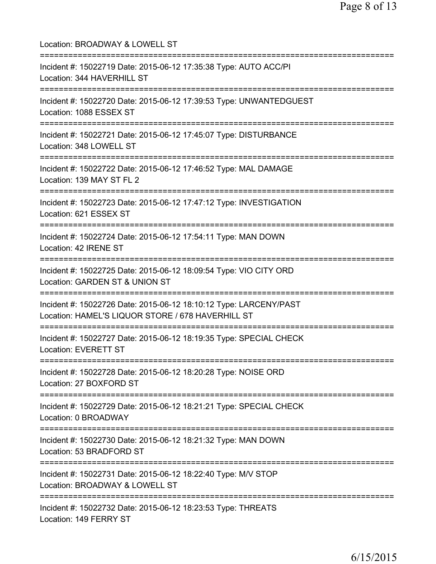Location: BROADWAY & LOWELL ST =========================================================================== Incident #: 15022719 Date: 2015-06-12 17:35:38 Type: AUTO ACC/PI Location: 344 HAVERHILL ST =========================================================================== Incident #: 15022720 Date: 2015-06-12 17:39:53 Type: UNWANTEDGUEST Location: 1088 ESSEX ST =========================================================================== Incident #: 15022721 Date: 2015-06-12 17:45:07 Type: DISTURBANCE Location: 348 LOWELL ST =========================================================================== Incident #: 15022722 Date: 2015-06-12 17:46:52 Type: MAL DAMAGE Location: 139 MAY ST FL 2 =========================================================================== Incident #: 15022723 Date: 2015-06-12 17:47:12 Type: INVESTIGATION Location: 621 ESSEX ST =========================================================================== Incident #: 15022724 Date: 2015-06-12 17:54:11 Type: MAN DOWN Location: 42 IRENE ST =========================================================================== Incident #: 15022725 Date: 2015-06-12 18:09:54 Type: VIO CITY ORD Location: GARDEN ST & UNION ST =========================================================================== Incident #: 15022726 Date: 2015-06-12 18:10:12 Type: LARCENY/PAST Location: HAMEL'S LIQUOR STORE / 678 HAVERHILL ST =========================================================================== Incident #: 15022727 Date: 2015-06-12 18:19:35 Type: SPECIAL CHECK Location: EVERETT ST =========================================================================== Incident #: 15022728 Date: 2015-06-12 18:20:28 Type: NOISE ORD Location: 27 BOXFORD ST =========================================================================== Incident #: 15022729 Date: 2015-06-12 18:21:21 Type: SPECIAL CHECK Location: 0 BROADWAY =========================================================================== Incident #: 15022730 Date: 2015-06-12 18:21:32 Type: MAN DOWN Location: 53 BRADFORD ST =========================================================================== Incident #: 15022731 Date: 2015-06-12 18:22:40 Type: M/V STOP Location: BROADWAY & LOWELL ST =========================================================================== Incident #: 15022732 Date: 2015-06-12 18:23:53 Type: THREATS Location: 149 FERRY ST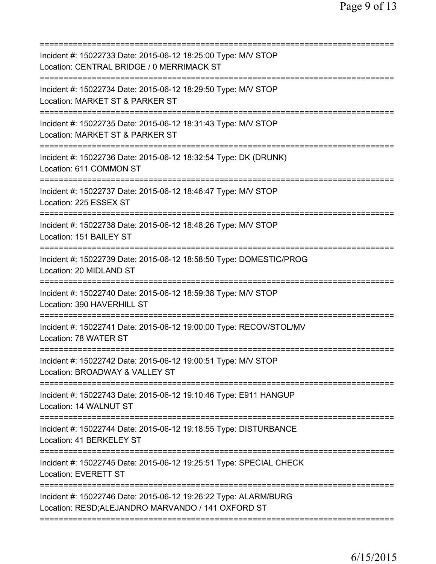| Incident #: 15022733 Date: 2015-06-12 18:25:00 Type: M/V STOP<br>Location: CENTRAL BRIDGE / 0 MERRIMACK ST           |
|----------------------------------------------------------------------------------------------------------------------|
| Incident #: 15022734 Date: 2015-06-12 18:29:50 Type: M/V STOP<br>Location: MARKET ST & PARKER ST                     |
| Incident #: 15022735 Date: 2015-06-12 18:31:43 Type: M/V STOP<br>Location: MARKET ST & PARKER ST                     |
| Incident #: 15022736 Date: 2015-06-12 18:32:54 Type: DK (DRUNK)<br>Location: 611 COMMON ST                           |
| Incident #: 15022737 Date: 2015-06-12 18:46:47 Type: M/V STOP<br>Location: 225 ESSEX ST                              |
| Incident #: 15022738 Date: 2015-06-12 18:48:26 Type: M/V STOP<br>Location: 151 BAILEY ST                             |
| Incident #: 15022739 Date: 2015-06-12 18:58:50 Type: DOMESTIC/PROG<br>Location: 20 MIDLAND ST                        |
| Incident #: 15022740 Date: 2015-06-12 18:59:38 Type: M/V STOP<br>Location: 390 HAVERHILL ST                          |
| Incident #: 15022741 Date: 2015-06-12 19:00:00 Type: RECOV/STOL/MV<br>Location: 78 WATER ST                          |
| Incident #: 15022742 Date: 2015-06-12 19:00:51 Type: M/V STOP<br>Location: BROADWAY & VALLEY ST                      |
| Incident #: 15022743 Date: 2015-06-12 19:10:46 Type: E911 HANGUP<br>Location: 14 WALNUT ST                           |
| Incident #: 15022744 Date: 2015-06-12 19:18:55 Type: DISTURBANCE<br>Location: 41 BERKELEY ST                         |
| Incident #: 15022745 Date: 2015-06-12 19:25:51 Type: SPECIAL CHECK<br><b>Location: EVERETT ST</b>                    |
| Incident #: 15022746 Date: 2015-06-12 19:26:22 Type: ALARM/BURG<br>Location: RESD;ALEJANDRO MARVANDO / 141 OXFORD ST |
|                                                                                                                      |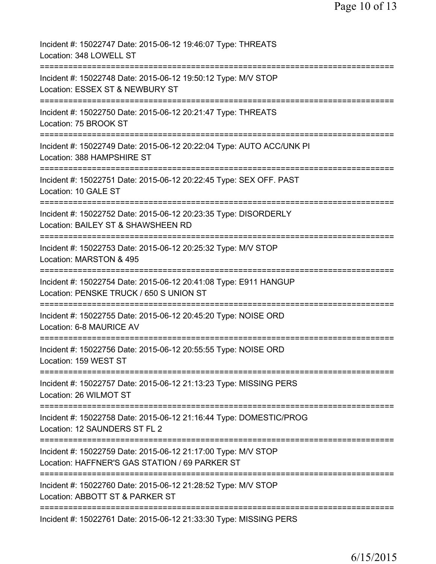| Incident #: 15022747 Date: 2015-06-12 19:46:07 Type: THREATS<br>Location: 348 LOWELL ST                                                             |
|-----------------------------------------------------------------------------------------------------------------------------------------------------|
| ===================<br>Incident #: 15022748 Date: 2015-06-12 19:50:12 Type: M/V STOP<br>Location: ESSEX ST & NEWBURY ST                             |
| Incident #: 15022750 Date: 2015-06-12 20:21:47 Type: THREATS<br>Location: 75 BROOK ST                                                               |
| Incident #: 15022749 Date: 2015-06-12 20:22:04 Type: AUTO ACC/UNK PI<br>Location: 388 HAMPSHIRE ST                                                  |
| ====================<br>Incident #: 15022751 Date: 2015-06-12 20:22:45 Type: SEX OFF. PAST<br>Location: 10 GALE ST                                  |
| Incident #: 15022752 Date: 2015-06-12 20:23:35 Type: DISORDERLY<br>Location: BAILEY ST & SHAWSHEEN RD<br>______________________                     |
| Incident #: 15022753 Date: 2015-06-12 20:25:32 Type: M/V STOP<br>Location: MARSTON & 495                                                            |
| Incident #: 15022754 Date: 2015-06-12 20:41:08 Type: E911 HANGUP<br>Location: PENSKE TRUCK / 650 S UNION ST<br>==================================== |
| Incident #: 15022755 Date: 2015-06-12 20:45:20 Type: NOISE ORD<br>Location: 6-8 MAURICE AV                                                          |
| Incident #: 15022756 Date: 2015-06-12 20:55:55 Type: NOISE ORD<br>Location: 159 WEST ST                                                             |
| Incident #: 15022757 Date: 2015-06-12 21:13:23 Type: MISSING PERS<br>Location: 26 WILMOT ST                                                         |
| Incident #: 15022758 Date: 2015-06-12 21:16:44 Type: DOMESTIC/PROG<br>Location: 12 SAUNDERS ST FL 2                                                 |
| Incident #: 15022759 Date: 2015-06-12 21:17:00 Type: M/V STOP<br>Location: HAFFNER'S GAS STATION / 69 PARKER ST                                     |
| Incident #: 15022760 Date: 2015-06-12 21:28:52 Type: M/V STOP<br>Location: ABBOTT ST & PARKER ST                                                    |
| Incident #: 15022761 Date: 2015-06-12 21:33:30 Type: MISSING PERS                                                                                   |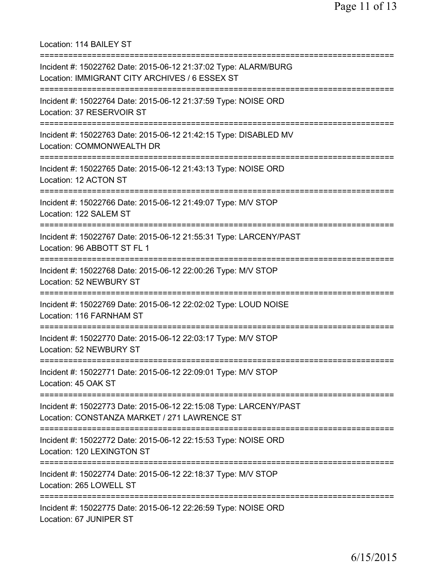Location: 114 BAILEY ST =========================================================================== Incident #: 15022762 Date: 2015-06-12 21:37:02 Type: ALARM/BURG Location: IMMIGRANT CITY ARCHIVES / 6 ESSEX ST =========================================================================== Incident #: 15022764 Date: 2015-06-12 21:37:59 Type: NOISE ORD Location: 37 RESERVOIR ST =========================================================================== Incident #: 15022763 Date: 2015-06-12 21:42:15 Type: DISABLED MV Location: COMMONWEALTH DR =========================================================================== Incident #: 15022765 Date: 2015-06-12 21:43:13 Type: NOISE ORD Location: 12 ACTON ST =========================================================================== Incident #: 15022766 Date: 2015-06-12 21:49:07 Type: M/V STOP Location: 122 SALEM ST =========================================================================== Incident #: 15022767 Date: 2015-06-12 21:55:31 Type: LARCENY/PAST Location: 96 ABBOTT ST FL 1 =========================================================================== Incident #: 15022768 Date: 2015-06-12 22:00:26 Type: M/V STOP Location: 52 NEWBURY ST =========================================================================== Incident #: 15022769 Date: 2015-06-12 22:02:02 Type: LOUD NOISE Location: 116 FARNHAM ST =========================================================================== Incident #: 15022770 Date: 2015-06-12 22:03:17 Type: M/V STOP Location: 52 NEWBURY ST =========================================================================== Incident #: 15022771 Date: 2015-06-12 22:09:01 Type: M/V STOP Location: 45 OAK ST =========================================================================== Incident #: 15022773 Date: 2015-06-12 22:15:08 Type: LARCENY/PAST Location: CONSTANZA MARKET / 271 LAWRENCE ST =========================================================================== Incident #: 15022772 Date: 2015-06-12 22:15:53 Type: NOISE ORD Location: 120 LEXINGTON ST =========================================================================== Incident #: 15022774 Date: 2015-06-12 22:18:37 Type: M/V STOP Location: 265 LOWELL ST =========================================================================== Incident #: 15022775 Date: 2015-06-12 22:26:59 Type: NOISE ORD Location: 67 JUNIPER ST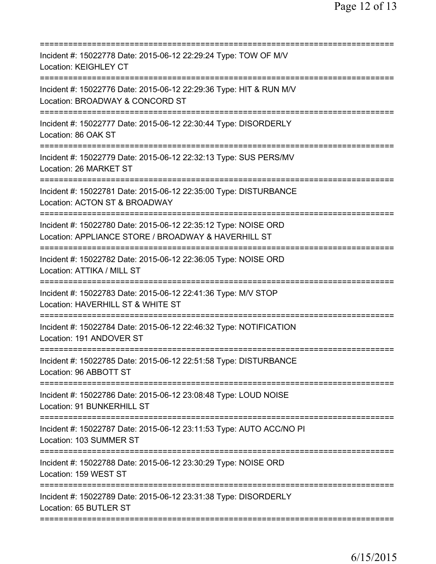| Incident #: 15022778 Date: 2015-06-12 22:29:24 Type: TOW OF M/V<br><b>Location: KEIGHLEY CT</b>                                                     |
|-----------------------------------------------------------------------------------------------------------------------------------------------------|
| Incident #: 15022776 Date: 2015-06-12 22:29:36 Type: HIT & RUN M/V<br>Location: BROADWAY & CONCORD ST                                               |
| Incident #: 15022777 Date: 2015-06-12 22:30:44 Type: DISORDERLY<br>Location: 86 OAK ST                                                              |
| Incident #: 15022779 Date: 2015-06-12 22:32:13 Type: SUS PERS/MV<br>Location: 26 MARKET ST                                                          |
| Incident #: 15022781 Date: 2015-06-12 22:35:00 Type: DISTURBANCE<br>Location: ACTON ST & BROADWAY<br>:=============                                 |
| ==========================<br>Incident #: 15022780 Date: 2015-06-12 22:35:12 Type: NOISE ORD<br>Location: APPLIANCE STORE / BROADWAY & HAVERHILL ST |
| ====================================<br>Incident #: 15022782 Date: 2015-06-12 22:36:05 Type: NOISE ORD<br>Location: ATTIKA / MILL ST                |
| Incident #: 15022783 Date: 2015-06-12 22:41:36 Type: M/V STOP<br>Location: HAVERHILL ST & WHITE ST                                                  |
| Incident #: 15022784 Date: 2015-06-12 22:46:32 Type: NOTIFICATION<br>Location: 191 ANDOVER ST                                                       |
| Incident #: 15022785 Date: 2015-06-12 22:51:58 Type: DISTURBANCE<br>Location: 96 ABBOTT ST                                                          |
| Incident #: 15022786 Date: 2015-06-12 23:08:48 Type: LOUD NOISE<br>Location: 91 BUNKERHILL ST                                                       |
| Incident #: 15022787 Date: 2015-06-12 23:11:53 Type: AUTO ACC/NO PI<br>Location: 103 SUMMER ST                                                      |
| Incident #: 15022788 Date: 2015-06-12 23:30:29 Type: NOISE ORD<br>Location: 159 WEST ST                                                             |
| Incident #: 15022789 Date: 2015-06-12 23:31:38 Type: DISORDERLY<br>Location: 65 BUTLER ST                                                           |
|                                                                                                                                                     |